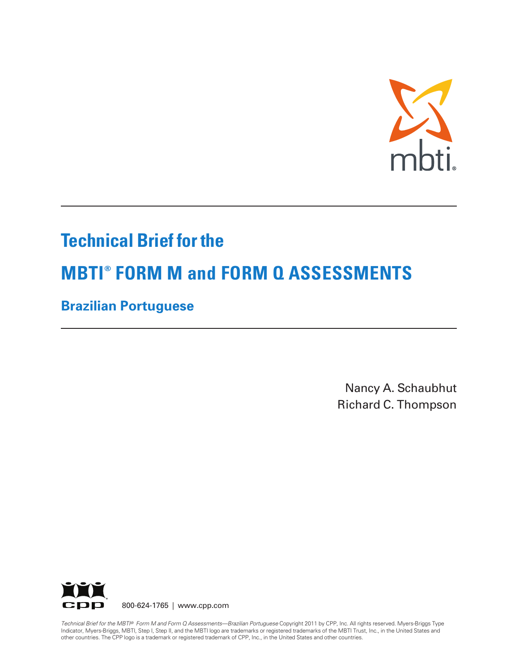

# **Technical Brief for the**

# **MBTI® FORM M and FORM Q ASSESSMENTS**

**Brazilian Portuguese** 

Nancy A. Schaubhut Richard C. Thompson



800-624-1765 | www.cpp.com

Technical Brief for the MBTI® Form M and Form Q Assessments—Brazilian Portuguese Copyright 2011 by CPP, Inc. All rights reserved. Myers-Briggs Type Indicator, Myers-Briggs, MBTI, Step I, Step II, and the MBTI logo are trademarks or registered trademarks of the MBTI Trust, Inc., in the United States and other countries. The CPP logo is a trademark or registered trademark of CPP, Inc., in the United States and other countries.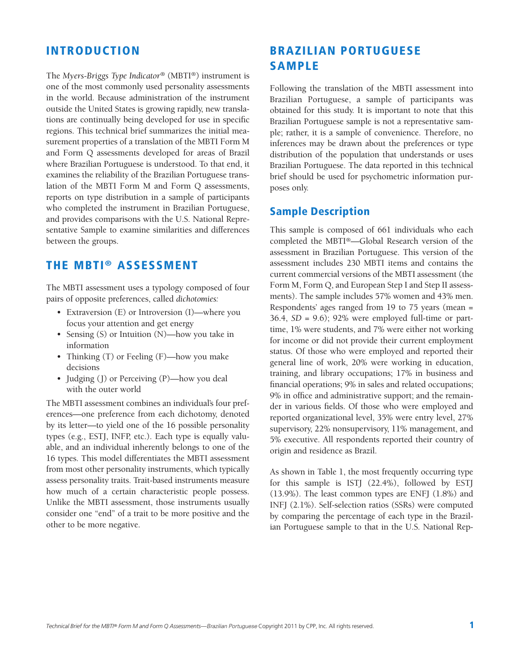#### **INTRODUCTION**

The *Myers-Briggs Type Indicator®* (MBTI®) instrument is one of the most commonly used personality assessments in the world. Because administration of the instrument outside the United States is growing rapidly, new translations are continually being developed for use in specific regions. This technical brief summarizes the initial measurement properties of a translation of the MBTI Form M and Form Q assessments developed for areas of Brazil where Brazilian Portuguese is understood. To that end, it examines the reliability of the Brazilian Portuguese translation of the MBTI Form M and Form Q assessments, reports on type distribution in a sample of participants who completed the instrument in Brazilian Portuguese, and provides comparisons with the U.S. National Representative Sample to examine similarities and differences between the groups.

### **THE MBTI ® ASSESSMENT**

The MBTI assessment uses a typology composed of four pairs of opposite preferences, called *dichotomies:*

- Extraversion (E) or Introversion (I)—where you focus your attention and get energy
- Sensing (S) or Intuition (N)—how you take in information
- Thinking (T) or Feeling (F)—how you make decisions
- Judging (J) or Perceiving (P)—how you deal with the outer world

The MBTI assessment combines an individual's four preferences—one preference from each dichotomy, denoted by its letter—to yield one of the 16 possible personality types (e.g., ESTJ, INFP, etc.). Each type is equally valuable, and an individual inherently belongs to one of the 16 types. This model differentiates the MBTI assessment from most other personality instruments, which typically assess personality traits. Trait-based instruments measure how much of a certain characteristic people possess. Unlike the MBTI assessment, those instruments usually consider one "end" of a trait to be more positive and the other to be more negative.

# **BRAZILIAN PORTUGUESE SAMPLE**

Following the translation of the MBTI assessment into Brazilian Portuguese, a sample of participants was obtained for this study. It is important to note that this Brazilian Portuguese sample is not a representative sample; rather, it is a sample of convenience. Therefore, no inferences may be drawn about the preferences or type distribution of the population that understands or uses Brazilian Portuguese. The data reported in this technical brief should be used for psychometric information purposes only.

#### **Sample Description**

This sample is composed of 661 individuals who each completed the MBTI®—Global Research version of the assessment in Brazilian Portuguese. This version of the assessment includes 230 MBTI items and contains the current commercial versions of the MBTI assessment (the Form M, Form Q, and European Step I and Step II assessments). The sample includes 57% women and 43% men. Respondents' ages ranged from 19 to 75 years (mean = 36.4, *SD* = 9.6); 92% were employed full-time or parttime, 1% were students, and 7% were either not working for income or did not provide their current employment status. Of those who were employed and reported their general line of work, 20% were working in education, training, and library occupations; 17% in business and financial operations; 9% in sales and related occupations; 9% in office and administrative support; and the remainder in various fields. Of those who were employed and reported organizational level, 35% were entry level, 27% supervisory, 22% nonsupervisory, 11% management, and 5% executive. All respondents reported their country of origin and residence as Brazil.

As shown in Table 1, the most frequently occurring type for this sample is ISTJ (22.4%), followed by ESTJ (13.9%). The least common types are ENFJ (1.8%) and INFJ (2.1%). Self-selection ratios (SSRs) were computed by comparing the percentage of each type in the Brazilian Portuguese sample to that in the U.S. National Rep-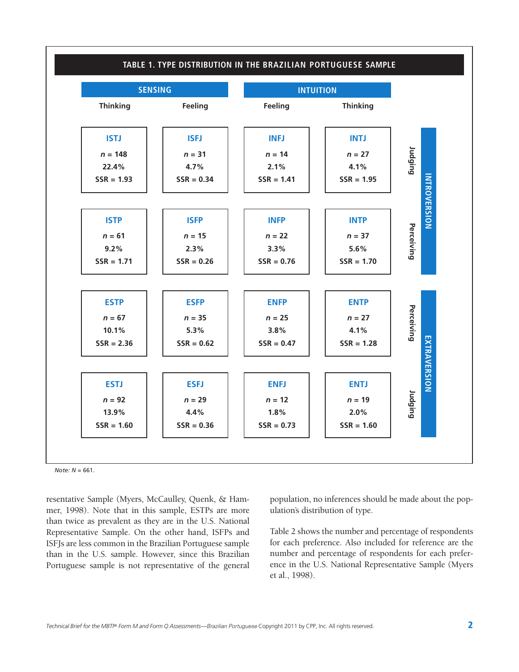

*Note: N* = 661.

resentative Sample (Myers, McCaulley, Quenk, & Hammer, 1998). Note that in this sample, ESTPs are more than twice as prevalent as they are in the U.S. National Representative Sample. On the other hand, ISFPs and ISFJs are less common in the Brazilian Portuguese sample than in the U.S. sample. However, since this Brazilian Portuguese sample is not representative of the general population, no inferences should be made about the population's distribution of type.

Table 2 shows the number and percentage of respondents for each preference. Also included for reference are the number and percentage of respondents for each preference in the U.S. National Representative Sample (Myers et al., 1998).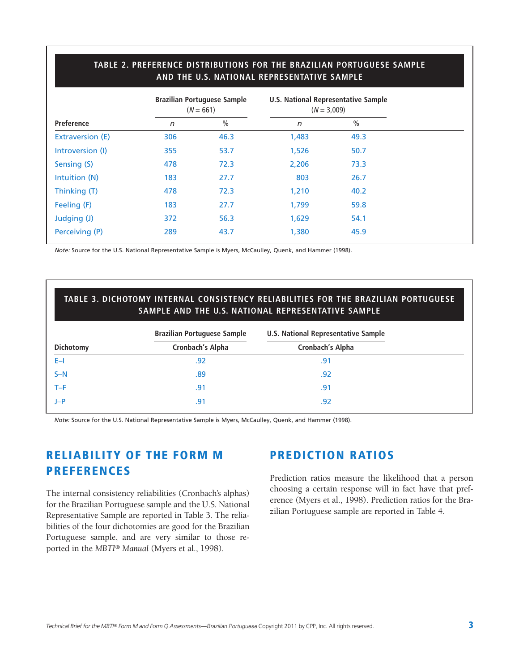#### **TABLE 2. PREFERENCE DISTRIBUTIONS FOR THE BRAZILIAN PORTUGUESE SAMPLE AND THE U.S. NATIONAL REPRESENTATIVE SAMPLE**

|                   |     | <b>Brazilian Portuguese Sample</b><br>$(N = 661)$ | U.S. National Representative Sample<br>$(N = 3,009)$ |               |  |
|-------------------|-----|---------------------------------------------------|------------------------------------------------------|---------------|--|
| <b>Preference</b> | n   | $\frac{0}{0}$                                     | $\sqrt{n}$                                           | $\frac{0}{0}$ |  |
| Extraversion (E)  | 306 | 46.3                                              | 1,483                                                | 49.3          |  |
| Introversion (I)  | 355 | 53.7                                              | 1,526                                                | 50.7          |  |
| Sensing (S)       | 478 | 72.3                                              | 2,206                                                | 73.3          |  |
| Intuition (N)     | 183 | 27.7                                              | 803                                                  | 26.7          |  |
| Thinking (T)      | 478 | 72.3                                              | 1,210                                                | 40.2          |  |
| Feeling (F)       | 183 | 27.7                                              | 1,799                                                | 59.8          |  |
| Judging (J)       | 372 | 56.3                                              | 1,629                                                | 54.1          |  |
| Perceiving (P)    | 289 | 43.7                                              | 1,380                                                | 45.9          |  |

*Note:* Source for the U.S. National Representative Sample is Myers, McCaulley, Quenk, and Hammer (1998).

#### **TABLE 3. DICHOTOMY INTERNAL CONSISTENCY RELIABILITIES FOR THE BRAZILIAN PORTUGUESE SAMPLE AND THE U.S. NATIONAL REPRESENTATIVE SAMPLE**

|           | <b>Brazilian Portuguese Sample</b> | <b>U.S. National Representative Sample</b> |
|-----------|------------------------------------|--------------------------------------------|
| Dichotomy | <b>Cronbach's Alpha</b>            | Cronbach's Alpha                           |
| E-I       | .92                                | .91                                        |
| $S-N$     | .89                                | .92                                        |
| T-F       | .91                                | .91                                        |
| $J-P$     | .91                                | .92                                        |

*Note:* Source for the U.S. National Representative Sample is Myers, McCaulley, Quenk, and Hammer (1998).

# **RELIABILITY OF THE FORM M PREFERENCES**

The internal consistency reliabilities (Cronbach's alphas) for the Brazilian Portuguese sample and the U.S. National Representative Sample are reported in Table 3. The reliabilities of the four dichotomies are good for the Brazilian Portuguese sample, and are very similar to those reported in the *MBTI® Manual* (Myers et al., 1998).

### **PREDICTION RATIOS**

Prediction ratios measure the likelihood that a person choosing a certain response will in fact have that preference (Myers et al., 1998). Prediction ratios for the Brazilian Portuguese sample are reported in Table 4.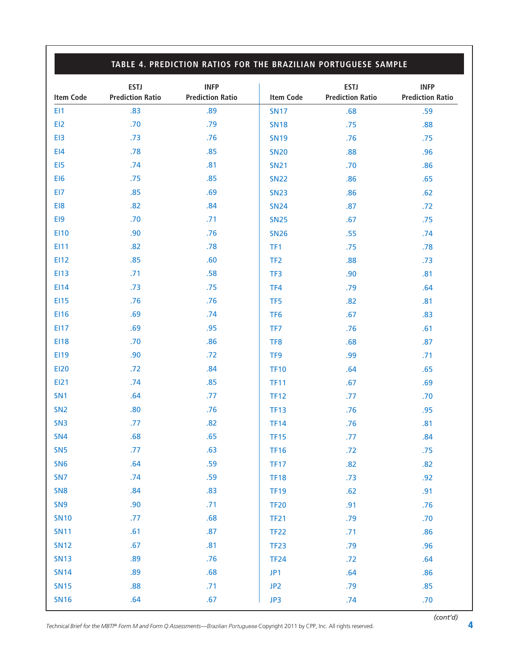## **TABLE 4. PREDICTION RATIOS FOR THE BRAZILIAN PORTUGUESE SAMPLE**

| EI1<br>EI2<br>EI3<br>E14 | .83<br>.70<br>.73<br>.78<br>.74<br>.75 | .89<br>.79<br>.76<br>.85<br>.81 | <b>SN17</b><br><b>SN18</b><br><b>SN19</b><br><b>SN20</b> | .68<br>.75<br>.76 | .59<br>.88 |
|--------------------------|----------------------------------------|---------------------------------|----------------------------------------------------------|-------------------|------------|
|                          |                                        |                                 |                                                          |                   |            |
|                          |                                        |                                 |                                                          |                   |            |
|                          |                                        |                                 |                                                          |                   | .75        |
|                          |                                        |                                 |                                                          | .88               | .96        |
| EI5                      |                                        |                                 | <b>SN21</b>                                              | .70               | .86        |
| EI6                      |                                        | .85                             | <b>SN22</b>                                              | .86               | .65        |
| EI7                      | .85                                    | .69                             | <b>SN23</b>                                              | .86               | .62        |
| EI8                      | .82                                    | .84                             | <b>SN24</b>                                              | .87               | .72        |
| EI9                      | .70                                    | .71                             | <b>SN25</b>                                              | .67               | .75        |
| E110                     | .90                                    | .76                             | <b>SN26</b>                                              | .55               | .74        |
| EI11                     | .82                                    | .78                             | TF1                                                      | .75               | .78        |
| EI12                     | .85                                    | .60                             | TF <sub>2</sub>                                          | .88               | .73        |
| <b>EI13</b>              | .71                                    | .58                             | TF3                                                      | .90               | .81        |
| EI14                     | .73                                    | .75                             | TF4                                                      | .79               | .64        |
| <b>EI15</b>              | .76                                    | .76                             | TF <sub>5</sub>                                          | .82               | .81        |
| EI16                     | .69                                    | .74                             | TF <sub>6</sub>                                          | .67               | .83        |
| <b>EI17</b>              | .69                                    | .95                             | TF7                                                      | .76               | .61        |
| <b>EI18</b>              | .70                                    | .86                             | TF8                                                      | .68               | .87        |
| EI19                     | .90                                    | .72                             | TF <sub>9</sub>                                          | .99               | .71        |
| <b>EI20</b>              | .72                                    | .84                             | <b>TF10</b>                                              | .64               | .65        |
| EI21                     | .74                                    | .85                             | <b>TF11</b>                                              | .67               | .69        |
| SN <sub>1</sub>          | .64                                    | .77                             | <b>TF12</b>                                              | .77               | .70        |
| SN <sub>2</sub>          | .80                                    | .76                             | <b>TF13</b>                                              | .76               | .95        |
| SN <sub>3</sub>          | .77                                    | .82                             | <b>TF14</b>                                              | .76               | .81        |
| SN <sub>4</sub>          | .68                                    | .65                             | <b>TF15</b>                                              | .77               | .84        |
| SN <sub>5</sub>          | .77                                    | .63                             | <b>TF16</b>                                              | .72               | .75        |
| SN <sub>6</sub>          | .64                                    | .59                             | <b>TF17</b>                                              | .82               | .82        |
| SN <sub>7</sub>          | .74                                    | .59                             | <b>TF18</b>                                              | .73               | .92        |
| SN <sub>8</sub>          | .84                                    | .83                             | <b>TF19</b>                                              | .62               | .91        |
| SN <sub>9</sub>          | .90                                    | .71                             | <b>TF20</b>                                              | .91               | .76        |
| <b>SN10</b>              | .77                                    | .68                             | <b>TF21</b>                                              | .79               | .70        |
| <b>SN11</b>              | .61                                    | .87                             | <b>TF22</b>                                              | .71               | .86        |
| <b>SN12</b>              | .67                                    | .81                             | <b>TF23</b>                                              | .79               | .96        |
| <b>SN13</b>              | .89                                    | .76                             | <b>TF24</b>                                              | .72               | .64        |
| <b>SN14</b>              | .89                                    | .68                             | JP1                                                      | .64               | .86        |
| <b>SN15</b>              | .88                                    | .71                             | JP <sub>2</sub>                                          | .79               | .85        |
| <b>SN16</b>              | .64                                    | .67                             | JP3                                                      | .74               | .70        |

*Technical Brief for the MBTI® Form M and Form Q Assessments—*Brazilian Portuguese Copyright 2011 by CPP, Inc. All rights reserved. **4**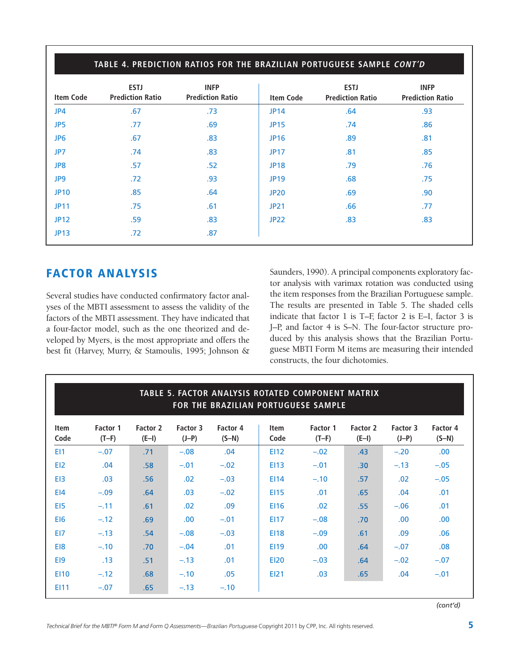| <b>Item Code</b> | <b>ESTJ</b><br><b>Prediction Ratio</b> | <b>INFP</b><br><b>Prediction Ratio</b> | <b>Item Code</b> | <b>ESTJ</b><br><b>Prediction Ratio</b> | <b>INFP</b><br><b>Prediction Ratio</b> |
|------------------|----------------------------------------|----------------------------------------|------------------|----------------------------------------|----------------------------------------|
| JP4              | .67                                    | .73                                    | <b>JP14</b>      | .64                                    | .93                                    |
| JP5              | .77                                    | .69                                    | <b>JP15</b>      | .74                                    | .86                                    |
| JP <sub>6</sub>  | .67                                    | .83                                    | <b>JP16</b>      | .89                                    | .81                                    |
| JP7              | .74                                    | .83                                    | <b>JP17</b>      | .81                                    | .85                                    |
| JP8              | .57                                    | .52                                    | <b>JP18</b>      | .79                                    | .76                                    |
| JP9              | .72                                    | .93                                    | <b>JP19</b>      | .68                                    | .75                                    |
| <b>JP10</b>      | .85                                    | .64                                    | <b>JP20</b>      | .69                                    | .90                                    |
| <b>JP11</b>      | .75                                    | .61                                    | <b>JP21</b>      | .66                                    | .77                                    |
| <b>JP12</b>      | .59                                    | .83                                    | <b>JP22</b>      | .83                                    | .83                                    |
| <b>JP13</b>      | .72                                    | .87                                    |                  |                                        |                                        |

# **FACTOR ANALYSIS**

Several studies have conducted confirmatory factor analyses of the MBTI assessment to assess the validity of the factors of the MBTI assessment. They have indicated that a four-factor model, such as the one theorized and developed by Myers, is the most appropriate and offers the best fit (Harvey, Murry, & Stamoulis, 1995; Johnson &

Saunders, 1990). A principal components exploratory factor analysis with varimax rotation was conducted using the item responses from the Brazilian Portuguese sample. The results are presented in Table 5. The shaded cells indicate that factor 1 is T–F, factor 2 is E–I, factor 3 is J–P, and factor 4 is S–N. The four-factor structure produced by this analysis shows that the Brazilian Portuguese MBTI Form M items are measuring their intended constructs, the four dichotomies.

| TABLE 5. FACTOR ANALYSIS ROTATED COMPONENT MATRIX<br>FOR THE BRAZILIAN PORTUGUESE SAMPLE |                     |                     |                     |                     |                     |                     |                     |                     |                     |
|------------------------------------------------------------------------------------------|---------------------|---------------------|---------------------|---------------------|---------------------|---------------------|---------------------|---------------------|---------------------|
| <b>Item</b><br>Code                                                                      | Factor 1<br>$(T-F)$ | Factor 2<br>$(E-I)$ | Factor 3<br>$(J-P)$ | Factor 4<br>$(S-N)$ | <b>Item</b><br>Code | Factor 1<br>$(T-F)$ | Factor 2<br>$(E-I)$ | Factor 3<br>$(J-P)$ | Factor 4<br>$(S-N)$ |
| EI1                                                                                      | $-.07$              | .71                 | $-.08$              | .04                 | <b>EI12</b>         | $-.02$              | .43                 | $-.20$              | .00.                |
| EI <sub>2</sub>                                                                          | .04                 | .58                 | $-.01$              | $-.02$              | E113                | $-.01$              | .30 <sub>1</sub>    | $-.13$              | $-.05$              |
| E <sub>13</sub>                                                                          | .03                 | .56                 | .02                 | $-.03$              | E114                | $-.10$              | .57                 | .02                 | $-.05$              |
| E <sub>14</sub>                                                                          | $-.09$              | .64                 | .03                 | $-.02$              | <b>EI15</b>         | .01                 | .65                 | .04                 | .01                 |
| E <sub>15</sub>                                                                          | $-.11$              | .61                 | .02                 | .09                 | EI16                | .02 <sub>0</sub>    | .55                 | $-.06$              | .01                 |
| EI <sub>6</sub>                                                                          | $-.12$              | .69                 | .00                 | $-.01$              | <b>EI17</b>         | $-.08$              | .70                 | .00                 | .00.                |
| EI7                                                                                      | $-.13$              | .54                 | $-.08$              | $-.03$              | <b>EI18</b>         | $-.09$              | .61                 | .09                 | .06                 |
| EI8                                                                                      | $-.10$              | .70                 | $-.04$              | .01                 | <b>EI19</b>         | .00                 | .64                 | $-.07$              | .08                 |
| E <sub>19</sub>                                                                          | .13                 | .51                 | $-.13$              | .01                 | <b>EI20</b>         | $-.03$              | .64                 | $-.02$              | $-.07$              |
| <b>EI10</b>                                                                              | $-.12$              | .68                 | $-.10$              | .05                 | <b>EI21</b>         | .03                 | .65                 | .04                 | $-.01$              |
| EI11                                                                                     | $-.07$              | .65                 | $-.13$              | $-.10$              |                     |                     |                     |                     |                     |

*(cont'd)*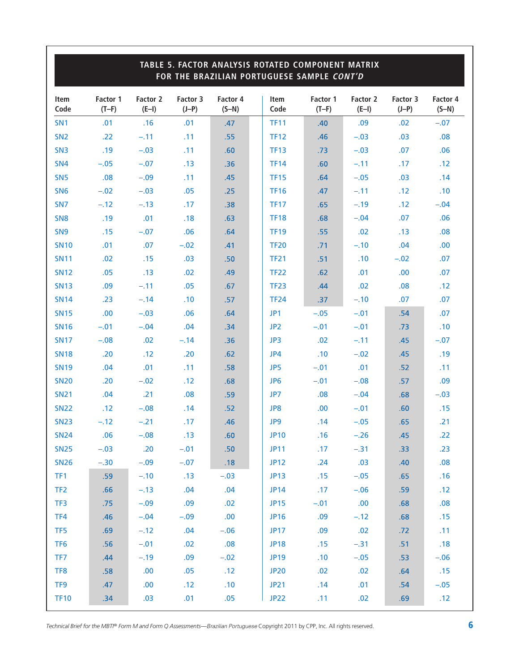|                 |                     |                     |                     |                     |                 | TABLE 5. FACTOR ANALYSIS ROTATED COMPONENT MATRIX<br>FOR THE BRAZILIAN PORTUGUESE SAMPLE CONT'D |                     |                     |                     |
|-----------------|---------------------|---------------------|---------------------|---------------------|-----------------|-------------------------------------------------------------------------------------------------|---------------------|---------------------|---------------------|
| Item<br>Code    | Factor 1<br>$(T-F)$ | Factor 2<br>$(E-I)$ | Factor 3<br>$(J-P)$ | Factor 4<br>$(S-N)$ | Item<br>Code    | Factor 1<br>$(T-F)$                                                                             | Factor 2<br>$(E-I)$ | Factor 3<br>$(J-P)$ | Factor 4<br>$(S-N)$ |
| SN <sub>1</sub> | .01                 | .16                 | .01                 | .47                 | <b>TF11</b>     | .40                                                                                             | .09                 | .02                 | $-.07$              |
| SN <sub>2</sub> | .22                 | $-.11$              | .11                 | .55                 | <b>TF12</b>     | .46                                                                                             | $-.03$              | .03                 | .08                 |
| SN <sub>3</sub> | .19                 | $-.03$              | .11                 | .60                 | <b>TF13</b>     | .73                                                                                             | $-.03$              | .07                 | .06                 |
| SN <sub>4</sub> | $-.05$              | $-.07$              | .13                 | .36                 | <b>TF14</b>     | .60                                                                                             | $-.11$              | .17                 | .12                 |
| SN <sub>5</sub> | .08                 | $-.09$              | .11                 | .45                 | <b>TF15</b>     | .64                                                                                             | $-.05$              | .03                 | .14                 |
| SN <sub>6</sub> | $-.02$              | $-.03$              | .05                 | .25                 | <b>TF16</b>     | .47                                                                                             | $-.11$              | .12                 | .10                 |
| SN <sub>7</sub> | $-.12$              | $-.13$              | .17                 | .38                 | <b>TF17</b>     | .65                                                                                             | $-.19$              | .12                 | $-.04$              |
| SN <sub>8</sub> | .19                 | .01                 | .18                 | .63                 | <b>TF18</b>     | .68                                                                                             | $-.04$              | .07                 | .06                 |
| SN <sub>9</sub> | .15                 | $-.07$              | .06                 | .64                 | <b>TF19</b>     | .55                                                                                             | .02                 | .13                 | .08                 |
| <b>SN10</b>     | .01                 | .07                 | $-.02$              | .41                 | <b>TF20</b>     | .71                                                                                             | $-.10$              | .04                 | .00                 |
| <b>SN11</b>     | .02                 | .15                 | .03                 | .50                 | <b>TF21</b>     | .51                                                                                             | .10                 | $-.02$              | .07                 |
| <b>SN12</b>     | .05                 | .13                 | .02                 | .49                 | <b>TF22</b>     | .62                                                                                             | .01                 | .00                 | .07                 |
| <b>SN13</b>     | .09                 | $-.11$              | .05                 | .67                 | <b>TF23</b>     | .44                                                                                             | .02                 | .08                 | .12                 |
| <b>SN14</b>     | .23                 | $-.14$              | .10                 | .57                 | <b>TF24</b>     | .37                                                                                             | $-.10$              | .07                 | .07                 |
| <b>SN15</b>     | .00                 | $-.03$              | .06                 | .64                 | JP1             | $-.05$                                                                                          | $-.01$              | .54                 | .07                 |
| <b>SN16</b>     | $-.01$              | $-.04$              | .04                 | .34                 | JP <sub>2</sub> | $-.01$                                                                                          | $-.01$              | .73                 | .10                 |
| <b>SN17</b>     | $-.08$              | .02                 | $-.14$              | .36                 | JP3             | .02                                                                                             | $-.11$              | .45                 | $-.07$              |
| <b>SN18</b>     | .20                 | .12                 | .20                 | .62                 | JP4             | .10                                                                                             | $-.02$              | .45                 | .19                 |
| <b>SN19</b>     | .04                 | .01                 | .11                 | .58                 | JP5             | $-.01$                                                                                          | .01                 | .52                 | .11                 |
| <b>SN20</b>     | .20                 | $-.02$              | .12                 | .68                 | JP <sub>6</sub> | $-.01$                                                                                          | $-.08$              | .57                 | .09                 |
| <b>SN21</b>     | .04                 | .21                 | .08                 | .59                 | JP7             | .08                                                                                             | $-.04$              | .68                 | $-.03$              |
| <b>SN22</b>     | .12                 | $-.08$              | .14                 | .52                 | JP8             | .00                                                                                             | $-.01$              | .60                 | .15                 |
| <b>SN23</b>     | $-.12$              | $-.21$              | .17                 | .46                 | JP9             | .14                                                                                             | $-.05$              | .65                 | .21                 |
| <b>SN24</b>     | .06                 | $-.08$              | .13                 | .60                 | <b>JP10</b>     | .16                                                                                             | $-.26$              | .45                 | .22                 |
| <b>SN25</b>     | $-.03$              | .20                 | $-.01$              | .50                 | <b>JP11</b>     | .17                                                                                             | $-.31$              | .33                 | .23                 |
| <b>SN26</b>     | $-.30$              | $-.09$              | $-.07$              | .18                 | <b>JP12</b>     | .24                                                                                             | .03                 | .40                 | .08                 |
| TF1             | .59                 | $-.10$              | .13                 | $-.03$              | <b>JP13</b>     | .15                                                                                             | $-.05$              | .65                 | .16                 |
| TF <sub>2</sub> | .66                 | $-.13$              | .04                 | .04                 | <b>JP14</b>     | .17                                                                                             | $-.06$              | .59                 | .12                 |
| TF3             | .75                 | $-.09$              | .09                 | .02                 | <b>JP15</b>     | $-.01$                                                                                          | .00                 | .68                 | .08                 |
| TF4             | .46                 | $-.04$              | $-.09$              | .00                 | <b>JP16</b>     | .09                                                                                             | $-.12$              | .68                 | .15                 |
| TF <sub>5</sub> | .69                 | $-.12$              | .04                 | $-.06$              | <b>JP17</b>     | .09                                                                                             | .02                 | .72                 | .11                 |
| TF <sub>6</sub> | .56                 | $-.01$              | .02                 | .08                 | <b>JP18</b>     | .15                                                                                             | $-.31$              | .51                 | .18                 |
| TF7             | .44                 | $-.19$              | .09                 | $-.02$              | <b>JP19</b>     | .10                                                                                             | $-.05$              | .53                 | $-.06$              |
| TF8             | .58                 | .00                 | .05                 | .12                 | <b>JP20</b>     | .02                                                                                             | .02                 | .64                 | .15                 |
| TF9             | .47                 | .00                 | .12                 | .10                 | JP21            | .14                                                                                             | .01                 | .54                 | $-.05$              |
| <b>TF10</b>     | .34                 | .03                 | .01                 | .05                 | <b>JP22</b>     | .11                                                                                             | .02                 | .69                 | .12                 |

*Technical Brief for the MBTI® Form M and Form Q Assessments—*Brazilian Portuguese Copyright 2011 by CPP, Inc. All rights reserved. **6**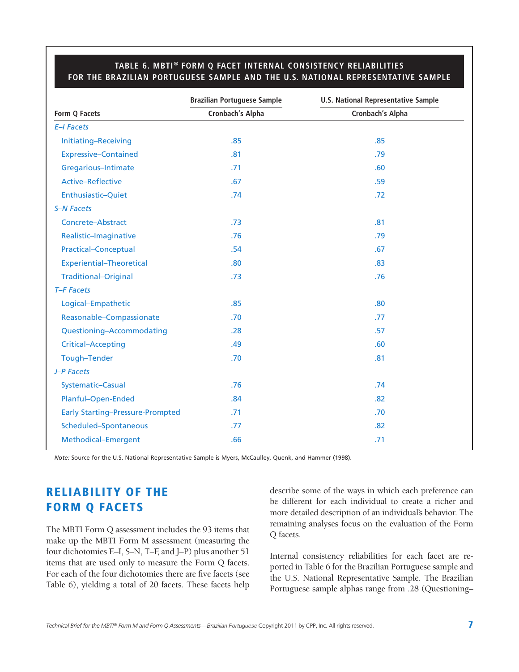#### **TABLE 6. MBTI® FORM Q FACET INTERNAL CONSISTENCY RELIABILITIES FOR THE BRAZILIAN PORTUGUESE SAMPLE AND THE U.S. NATIONAL REPRESENTATIVE SAMPLE**

|                                         | <b>Brazilian Portuguese Sample</b> | <b>U.S. National Representative Sample</b> |
|-----------------------------------------|------------------------------------|--------------------------------------------|
| Form Q Facets                           | Cronbach's Alpha                   | Cronbach's Alpha                           |
| E-I Facets                              |                                    |                                            |
| Initiating-Receiving                    | .85                                | .85                                        |
| <b>Expressive-Contained</b>             | .81                                | .79                                        |
| Gregarious-Intimate                     | .71                                | .60                                        |
| <b>Active-Reflective</b>                | .67                                | .59                                        |
| Enthusiastic-Quiet                      | .74                                | .72                                        |
| <b>S-N Facets</b>                       |                                    |                                            |
| Concrete-Abstract                       | .73                                | .81                                        |
| Realistic-Imaginative                   | .76                                | .79                                        |
| <b>Practical-Conceptual</b>             | .54                                | .67                                        |
| <b>Experiential-Theoretical</b>         | .80                                | .83                                        |
| <b>Traditional-Original</b>             | .73                                | .76                                        |
| T-F Facets                              |                                    |                                            |
| Logical-Empathetic                      | .85                                | .80                                        |
| Reasonable-Compassionate                | .70                                | .77                                        |
| Questioning-Accommodating               | .28                                | .57                                        |
| <b>Critical-Accepting</b>               | .49                                | .60                                        |
| Tough-Tender                            | .70                                | .81                                        |
| J-P Facets                              |                                    |                                            |
| Systematic-Casual                       | .76                                | .74                                        |
| Planful-Open-Ended                      | .84                                | .82                                        |
| <b>Early Starting-Pressure-Prompted</b> | .71                                | .70                                        |
| Scheduled-Spontaneous                   | .77                                | .82                                        |
| Methodical-Emergent                     | .66                                | .71                                        |

*Note:* Source for the U.S. National Representative Sample is Myers, McCaulley, Quenk, and Hammer (1998).

# **RELIABILITY OF THE FORM Q FACETS**

The MBTI Form Q assessment includes the 93 items that make up the MBTI Form M assessment (measuring the four dichotomies E–I, S–N, T–F, and J–P) plus another 51 items that are used only to measure the Form Q facets. For each of the four dichotomies there are five facets (see Table 6), yielding a total of 20 facets. These facets help describe some of the ways in which each preference can be different for each individual to create a richer and more detailed description of an individual's behavior. The remaining analyses focus on the evaluation of the Form Q facets.

Internal consistency reliabilities for each facet are reported in Table 6 for the Brazilian Portuguese sample and the U.S. National Representative Sample. The Brazilian Portuguese sample alphas range from .28 (Questioning–